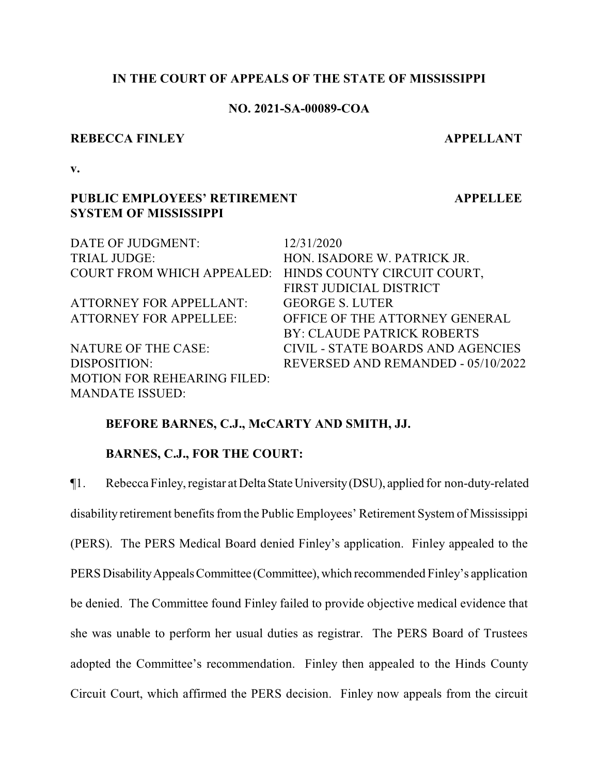#### **IN THE COURT OF APPEALS OF THE STATE OF MISSISSIPPI**

# **NO. 2021-SA-00089-COA**

#### **REBECCA FINLEY APPELLANT**

**APPELLEE**

**v.**

# **PUBLIC EMPLOYEES' RETIREMENT SYSTEM OF MISSISSIPPI**

| DATE OF JUDGMENT:                                      | 12/31/2020                         |
|--------------------------------------------------------|------------------------------------|
| <b>TRIAL JUDGE:</b>                                    | HON. ISADORE W. PATRICK JR.        |
| COURT FROM WHICH APPEALED: HINDS COUNTY CIRCUIT COURT, |                                    |
|                                                        | FIRST JUDICIAL DISTRICT            |
| <b>ATTORNEY FOR APPELLANT:</b>                         | <b>GEORGE S. LUTER</b>             |
| <b>ATTORNEY FOR APPELLEE:</b>                          | OFFICE OF THE ATTORNEY GENERAL     |
|                                                        | BY: CLAUDE PATRICK ROBERTS         |
| <b>NATURE OF THE CASE:</b>                             | CIVIL - STATE BOARDS AND AGENCIES  |
| DISPOSITION:                                           | REVERSED AND REMANDED - 05/10/2022 |
| <b>MOTION FOR REHEARING FILED:</b>                     |                                    |
| <b>MANDATE ISSUED:</b>                                 |                                    |

## **BEFORE BARNES, C.J., McCARTY AND SMITH, JJ.**

## **BARNES, C.J., FOR THE COURT:**

¶1. Rebecca Finley,registar at DeltaStateUniversity(DSU), applied for non-duty-related disability retirement benefits from the Public Employees' Retirement System of Mississippi (PERS). The PERS Medical Board denied Finley's application. Finley appealed to the PERS Disability Appeals Committee (Committee), which recommended Finley's application be denied. The Committee found Finley failed to provide objective medical evidence that she was unable to perform her usual duties as registrar. The PERS Board of Trustees adopted the Committee's recommendation. Finley then appealed to the Hinds County Circuit Court, which affirmed the PERS decision. Finley now appeals from the circuit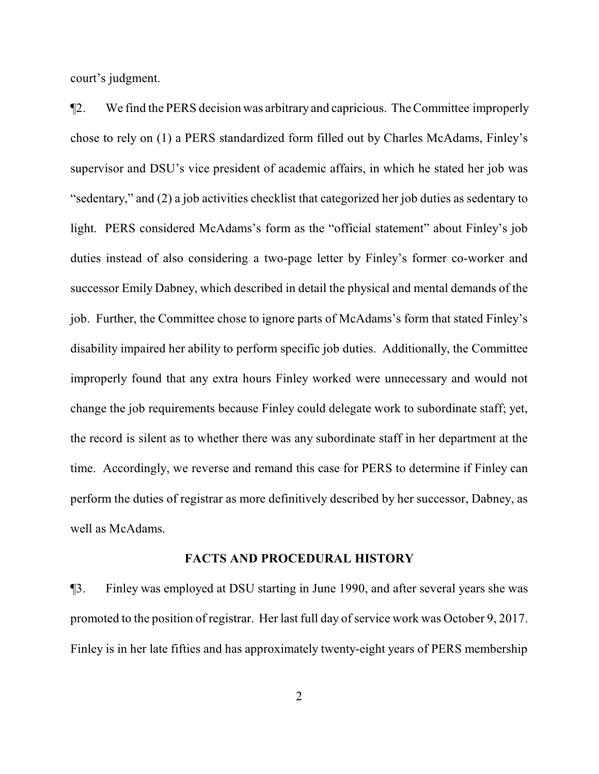court's judgment.

¶2. We find the PERS decision was arbitrary and capricious. The Committee improperly chose to rely on (1) a PERS standardized form filled out by Charles McAdams, Finley's supervisor and DSU's vice president of academic affairs, in which he stated her job was "sedentary," and (2) a job activities checklist that categorized her job duties as sedentary to light. PERS considered McAdams's form as the "official statement" about Finley's job duties instead of also considering a two-page letter by Finley's former co-worker and successor Emily Dabney, which described in detail the physical and mental demands of the job. Further, the Committee chose to ignore parts of McAdams's form that stated Finley's disability impaired her ability to perform specific job duties. Additionally, the Committee improperly found that any extra hours Finley worked were unnecessary and would not change the job requirements because Finley could delegate work to subordinate staff; yet, the record is silent as to whether there was any subordinate staff in her department at the time. Accordingly, we reverse and remand this case for PERS to determine if Finley can perform the duties of registrar as more definitively described by her successor, Dabney, as well as McAdams.

#### **FACTS AND PROCEDURAL HISTORY**

¶3. Finley was employed at DSU starting in June 1990, and after several years she was promoted to the position of registrar. Her last full day of service work was October 9, 2017. Finley is in her late fifties and has approximately twenty-eight years of PERS membership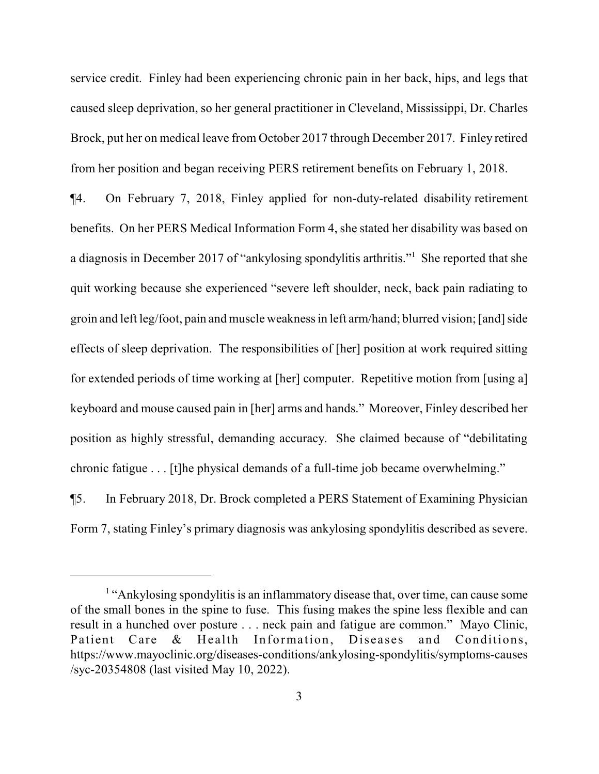service credit. Finley had been experiencing chronic pain in her back, hips, and legs that caused sleep deprivation, so her general practitioner in Cleveland, Mississippi, Dr. Charles Brock, put her on medical leave from October 2017 through December 2017. Finley retired from her position and began receiving PERS retirement benefits on February 1, 2018.

¶4. On February 7, 2018, Finley applied for non-duty-related disability retirement benefits. On her PERS Medical Information Form 4, she stated her disability was based on a diagnosis in December 2017 of "ankylosing spondylitis arthritis."<sup>1</sup> She reported that she quit working because she experienced "severe left shoulder, neck, back pain radiating to groin and left leg/foot, pain and muscle weakness in left arm/hand; blurred vision; [and] side effects of sleep deprivation. The responsibilities of [her] position at work required sitting for extended periods of time working at [her] computer. Repetitive motion from [using a] keyboard and mouse caused pain in [her] arms and hands." Moreover, Finley described her position as highly stressful, demanding accuracy. She claimed because of "debilitating chronic fatigue . . . [t]he physical demands of a full-time job became overwhelming."

¶5. In February 2018, Dr. Brock completed a PERS Statement of Examining Physician Form 7, stating Finley's primary diagnosis was ankylosing spondylitis described as severe.

<sup>&</sup>lt;sup>1</sup> "Ankylosing spondylitis is an inflammatory disease that, over time, can cause some of the small bones in the spine to fuse. This fusing makes the spine less flexible and can result in a hunched over posture . . . neck pain and fatigue are common." Mayo Clinic, Patient Care & Health Information, Diseases and Conditions, https://www.mayoclinic.org/diseases-conditions/ankylosing-spondylitis/symptoms-causes /syc-20354808 (last visited May 10, 2022).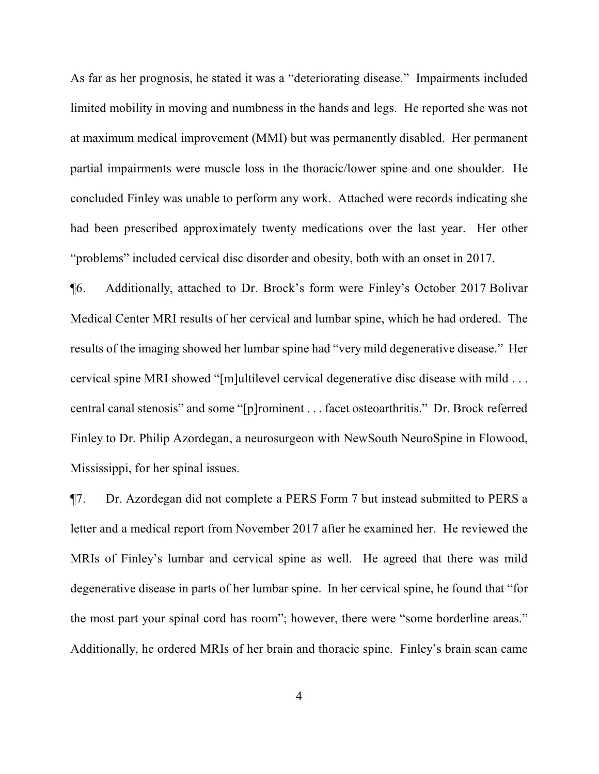As far as her prognosis, he stated it was a "deteriorating disease." Impairments included limited mobility in moving and numbness in the hands and legs. He reported she was not at maximum medical improvement (MMI) but was permanently disabled. Her permanent partial impairments were muscle loss in the thoracic/lower spine and one shoulder. He concluded Finley was unable to perform any work. Attached were records indicating she had been prescribed approximately twenty medications over the last year. Her other "problems" included cervical disc disorder and obesity, both with an onset in 2017.

¶6. Additionally, attached to Dr. Brock's form were Finley's October 2017 Bolivar Medical Center MRI results of her cervical and lumbar spine, which he had ordered. The results of the imaging showed her lumbar spine had "very mild degenerative disease." Her cervical spine MRI showed "[m]ultilevel cervical degenerative disc disease with mild . . . central canal stenosis" and some "[p]rominent . . . facet osteoarthritis." Dr. Brock referred Finley to Dr. Philip Azordegan, a neurosurgeon with NewSouth NeuroSpine in Flowood, Mississippi, for her spinal issues.

¶7. Dr. Azordegan did not complete a PERS Form 7 but instead submitted to PERS a letter and a medical report from November 2017 after he examined her. He reviewed the MRIs of Finley's lumbar and cervical spine as well. He agreed that there was mild degenerative disease in parts of her lumbar spine. In her cervical spine, he found that "for the most part your spinal cord has room"; however, there were "some borderline areas." Additionally, he ordered MRIs of her brain and thoracic spine. Finley's brain scan came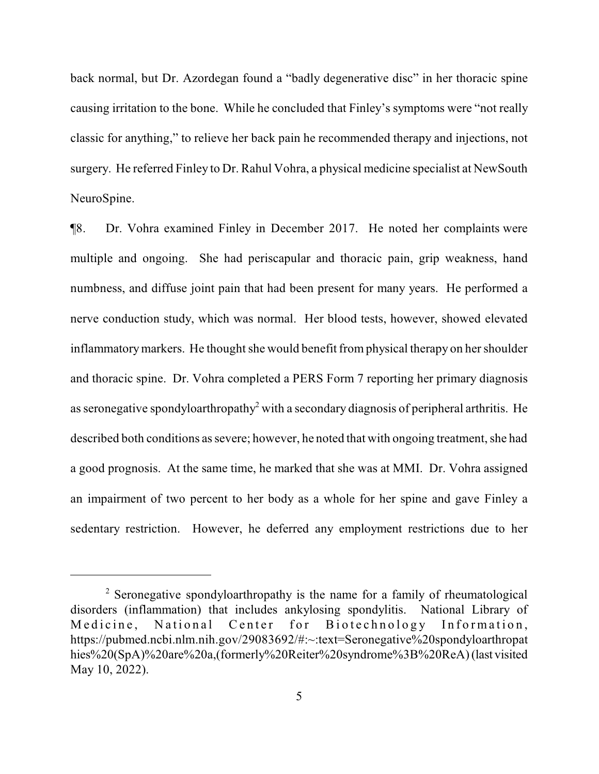back normal, but Dr. Azordegan found a "badly degenerative disc" in her thoracic spine causing irritation to the bone. While he concluded that Finley's symptoms were "not really classic for anything," to relieve her back pain he recommended therapy and injections, not surgery. He referred Finley to Dr. Rahul Vohra, a physical medicine specialist at NewSouth NeuroSpine.

¶8. Dr. Vohra examined Finley in December 2017. He noted her complaints were multiple and ongoing. She had periscapular and thoracic pain, grip weakness, hand numbness, and diffuse joint pain that had been present for many years. He performed a nerve conduction study, which was normal. Her blood tests, however, showed elevated inflammatorymarkers. He thought she would benefit from physical therapy on her shoulder and thoracic spine. Dr. Vohra completed a PERS Form 7 reporting her primary diagnosis as seronegative spondyloarthropathy<sup>2</sup> with a secondary diagnosis of peripheral arthritis. He described both conditions as severe; however, he noted that with ongoing treatment, she had a good prognosis. At the same time, he marked that she was at MMI. Dr. Vohra assigned an impairment of two percent to her body as a whole for her spine and gave Finley a sedentary restriction. However, he deferred any employment restrictions due to her

<sup>&</sup>lt;sup>2</sup> Seronegative spondyloarthropathy is the name for a family of rheumatological disorders (inflammation) that includes ankylosing spondylitis. National Library of Medicine, National Center for Biotechnology Information, https://pubmed.ncbi.nlm.nih.gov/29083692/#:~:text=Seronegative%20spondyloarthropat hies%20(SpA)%20are%20a,(formerly%20Reiter%20syndrome%3B%20ReA)(last visited May 10, 2022).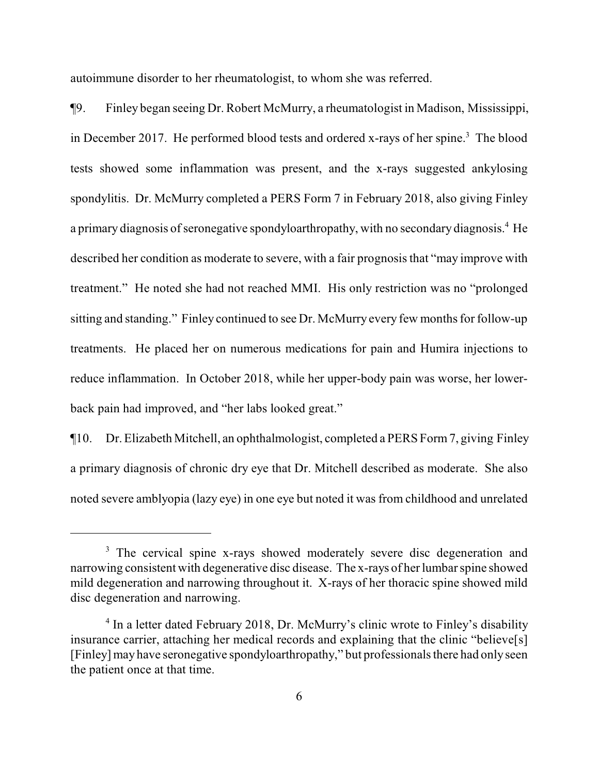autoimmune disorder to her rheumatologist, to whom she was referred.

¶9. Finley began seeing Dr. Robert McMurry, a rheumatologist in Madison, Mississippi, in December 2017. He performed blood tests and ordered x-rays of her spine.<sup>3</sup> The blood tests showed some inflammation was present, and the x-rays suggested ankylosing spondylitis. Dr. McMurry completed a PERS Form 7 in February 2018, also giving Finley a primary diagnosis of seronegative spondyloarthropathy, with no secondary diagnosis.<sup>4</sup> He described her condition as moderate to severe, with a fair prognosis that "may improve with treatment." He noted she had not reached MMI. His only restriction was no "prolonged sitting and standing." Finley continued to see Dr. McMurry every few months forfollow-up treatments. He placed her on numerous medications for pain and Humira injections to reduce inflammation. In October 2018, while her upper-body pain was worse, her lowerback pain had improved, and "her labs looked great."

¶10. Dr. Elizabeth Mitchell, an ophthalmologist, completed a PERS Form7, giving Finley a primary diagnosis of chronic dry eye that Dr. Mitchell described as moderate. She also noted severe amblyopia (lazy eye) in one eye but noted it was from childhood and unrelated

<sup>&</sup>lt;sup>3</sup> The cervical spine x-rays showed moderately severe disc degeneration and narrowing consistent with degenerative disc disease. The x-rays of her lumbar spine showed mild degeneration and narrowing throughout it. X-rays of her thoracic spine showed mild disc degeneration and narrowing.

<sup>&</sup>lt;sup>4</sup> In a letter dated February 2018, Dr. McMurry's clinic wrote to Finley's disability insurance carrier, attaching her medical records and explaining that the clinic "believe[s] [Finley] may have seronegative spondyloarthropathy," but professionals there had onlyseen the patient once at that time.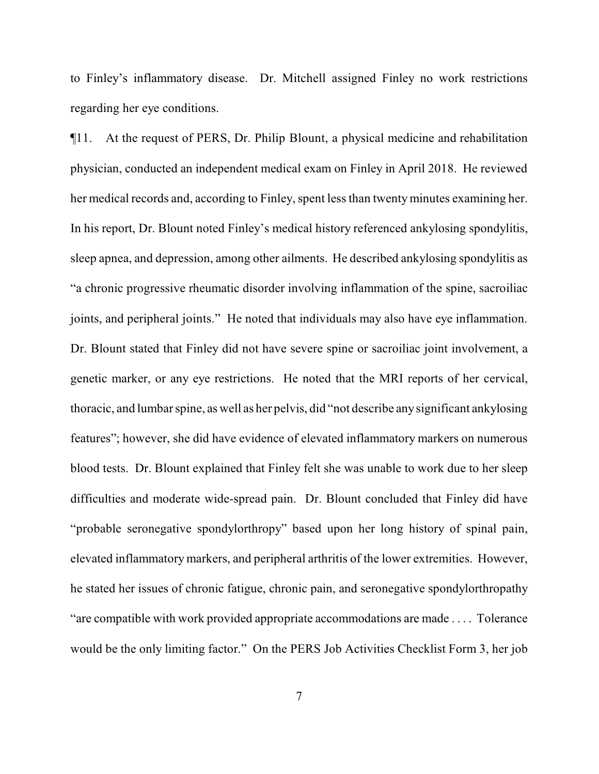to Finley's inflammatory disease. Dr. Mitchell assigned Finley no work restrictions regarding her eye conditions.

¶11. At the request of PERS, Dr. Philip Blount, a physical medicine and rehabilitation physician, conducted an independent medical exam on Finley in April 2018. He reviewed her medical records and, according to Finley, spent less than twenty minutes examining her. In his report, Dr. Blount noted Finley's medical history referenced ankylosing spondylitis, sleep apnea, and depression, among other ailments. He described ankylosing spondylitis as "a chronic progressive rheumatic disorder involving inflammation of the spine, sacroiliac joints, and peripheral joints." He noted that individuals may also have eye inflammation. Dr. Blount stated that Finley did not have severe spine or sacroiliac joint involvement, a genetic marker, or any eye restrictions. He noted that the MRI reports of her cervical, thoracic, and lumbar spine, as well as her pelvis, did "not describe anysignificant ankylosing features"; however, she did have evidence of elevated inflammatory markers on numerous blood tests. Dr. Blount explained that Finley felt she was unable to work due to her sleep difficulties and moderate wide-spread pain. Dr. Blount concluded that Finley did have "probable seronegative spondylorthropy" based upon her long history of spinal pain, elevated inflammatory markers, and peripheral arthritis of the lower extremities. However, he stated her issues of chronic fatigue, chronic pain, and seronegative spondylorthropathy "are compatible with work provided appropriate accommodations are made . . . . Tolerance would be the only limiting factor." On the PERS Job Activities Checklist Form 3, her job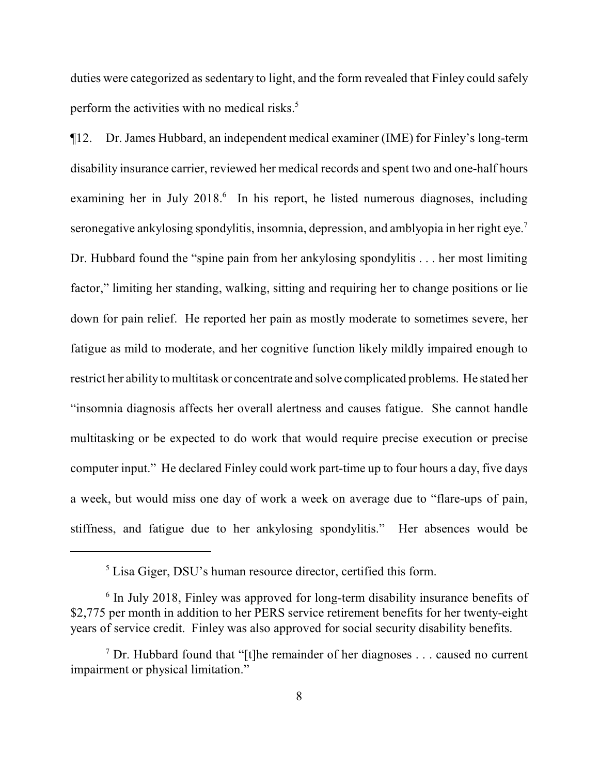duties were categorized as sedentary to light, and the form revealed that Finley could safely perform the activities with no medical risks.<sup>5</sup>

¶12. Dr. James Hubbard, an independent medical examiner (IME) for Finley's long-term disability insurance carrier, reviewed her medical records and spent two and one-half hours examining her in July 2018. 6 In his report, he listed numerous diagnoses, including seronegative ankylosing spondylitis, insomnia, depression, and amblyopia in her right eye.<sup>7</sup> Dr. Hubbard found the "spine pain from her ankylosing spondylitis . . . her most limiting factor," limiting her standing, walking, sitting and requiring her to change positions or lie down for pain relief. He reported her pain as mostly moderate to sometimes severe, her fatigue as mild to moderate, and her cognitive function likely mildly impaired enough to restrict her ability to multitask or concentrate and solve complicated problems. He stated her "insomnia diagnosis affects her overall alertness and causes fatigue. She cannot handle multitasking or be expected to do work that would require precise execution or precise computer input." He declared Finley could work part-time up to four hours a day, five days a week, but would miss one day of work a week on average due to "flare-ups of pain, stiffness, and fatigue due to her ankylosing spondylitis." Her absences would be

<sup>&</sup>lt;sup>5</sup> Lisa Giger, DSU's human resource director, certified this form.

<sup>&</sup>lt;sup>6</sup> In July 2018, Finley was approved for long-term disability insurance benefits of \$2,775 per month in addition to her PERS service retirement benefits for her twenty-eight years of service credit. Finley was also approved for social security disability benefits.

<sup>&</sup>lt;sup>7</sup> Dr. Hubbard found that "[t]he remainder of her diagnoses . . . caused no current impairment or physical limitation."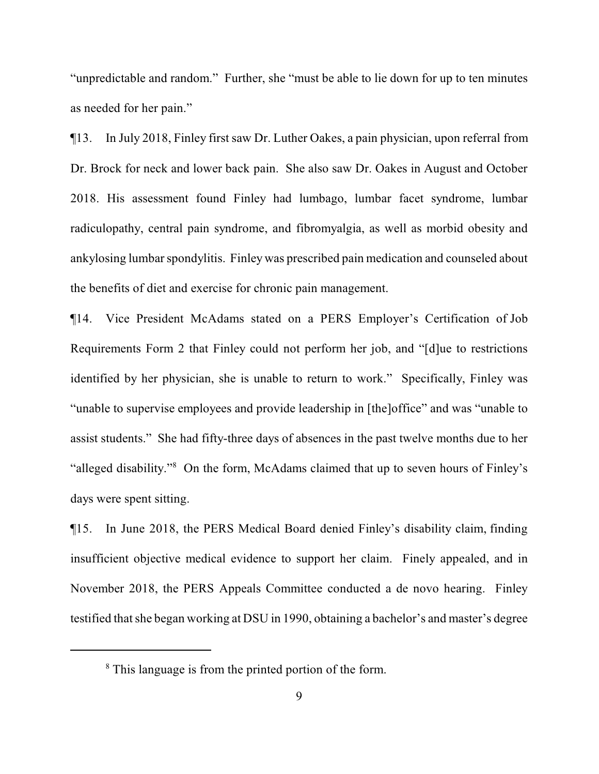"unpredictable and random." Further, she "must be able to lie down for up to ten minutes as needed for her pain."

¶13. In July 2018, Finley first saw Dr. Luther Oakes, a pain physician, upon referral from Dr. Brock for neck and lower back pain. She also saw Dr. Oakes in August and October 2018. His assessment found Finley had lumbago, lumbar facet syndrome, lumbar radiculopathy, central pain syndrome, and fibromyalgia, as well as morbid obesity and ankylosing lumbar spondylitis. Finley was prescribed pain medication and counseled about the benefits of diet and exercise for chronic pain management.

¶14. Vice President McAdams stated on a PERS Employer's Certification of Job Requirements Form 2 that Finley could not perform her job, and "[d]ue to restrictions identified by her physician, she is unable to return to work." Specifically, Finley was "unable to supervise employees and provide leadership in [the]office" and was "unable to assist students." She had fifty-three days of absences in the past twelve months due to her "alleged disability."<sup>8</sup> On the form, McAdams claimed that up to seven hours of Finley's days were spent sitting.

¶15. In June 2018, the PERS Medical Board denied Finley's disability claim, finding insufficient objective medical evidence to support her claim. Finely appealed, and in November 2018, the PERS Appeals Committee conducted a de novo hearing. Finley testified that she began working at DSU in 1990, obtaining a bachelor's and master's degree

<sup>&</sup>lt;sup>8</sup> This language is from the printed portion of the form.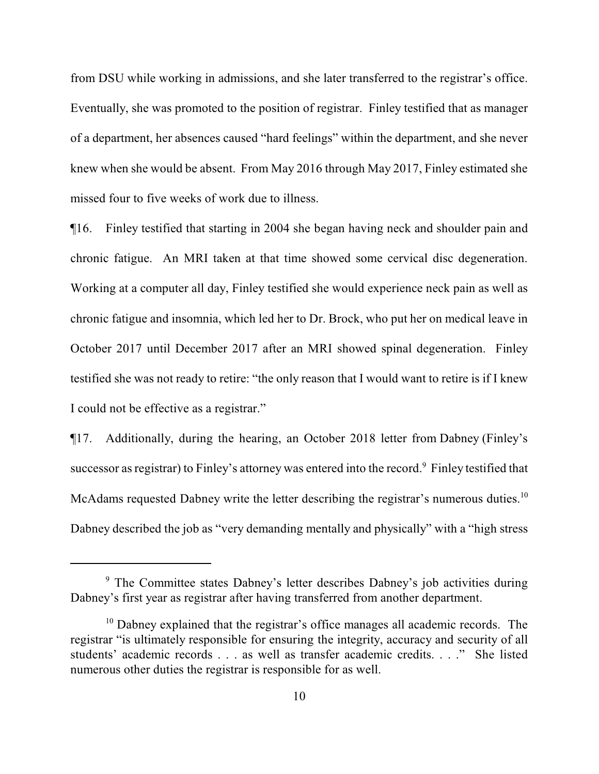from DSU while working in admissions, and she later transferred to the registrar's office. Eventually, she was promoted to the position of registrar. Finley testified that as manager of a department, her absences caused "hard feelings" within the department, and she never knew when she would be absent. From May 2016 through May 2017, Finley estimated she missed four to five weeks of work due to illness.

¶16. Finley testified that starting in 2004 she began having neck and shoulder pain and chronic fatigue. An MRI taken at that time showed some cervical disc degeneration. Working at a computer all day, Finley testified she would experience neck pain as well as chronic fatigue and insomnia, which led her to Dr. Brock, who put her on medical leave in October 2017 until December 2017 after an MRI showed spinal degeneration. Finley testified she was not ready to retire: "the only reason that I would want to retire is if I knew I could not be effective as a registrar."

¶17. Additionally, during the hearing, an October 2018 letter from Dabney (Finley's successor as registrar) to Finley's attorney was entered into the record.<sup>9</sup> Finley testified that McAdams requested Dabney write the letter describing the registrar's numerous duties.<sup>10</sup> Dabney described the job as "very demanding mentally and physically" with a "high stress

<sup>9</sup> The Committee states Dabney's letter describes Dabney's job activities during Dabney's first year as registrar after having transferred from another department.

<sup>&</sup>lt;sup>10</sup> Dabney explained that the registrar's office manages all academic records. The registrar "is ultimately responsible for ensuring the integrity, accuracy and security of all students' academic records . . . as well as transfer academic credits. . . ." She listed numerous other duties the registrar is responsible for as well.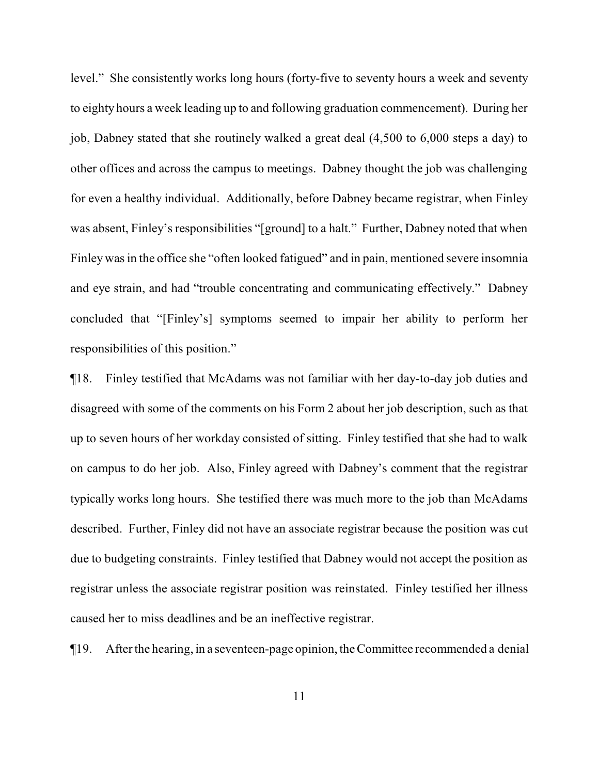level." She consistently works long hours (forty-five to seventy hours a week and seventy to eighty hours a week leading up to and following graduation commencement). During her job, Dabney stated that she routinely walked a great deal (4,500 to 6,000 steps a day) to other offices and across the campus to meetings. Dabney thought the job was challenging for even a healthy individual. Additionally, before Dabney became registrar, when Finley was absent, Finley's responsibilities "[ground] to a halt." Further, Dabney noted that when Finley was in the office she "often looked fatigued" and in pain, mentioned severe insomnia and eye strain, and had "trouble concentrating and communicating effectively." Dabney concluded that "[Finley's] symptoms seemed to impair her ability to perform her responsibilities of this position."

¶18. Finley testified that McAdams was not familiar with her day-to-day job duties and disagreed with some of the comments on his Form 2 about her job description, such as that up to seven hours of her workday consisted of sitting. Finley testified that she had to walk on campus to do her job. Also, Finley agreed with Dabney's comment that the registrar typically works long hours. She testified there was much more to the job than McAdams described. Further, Finley did not have an associate registrar because the position was cut due to budgeting constraints. Finley testified that Dabney would not accept the position as registrar unless the associate registrar position was reinstated. Finley testified her illness caused her to miss deadlines and be an ineffective registrar.

¶19. After the hearing, in a seventeen-page opinion,the Committee recommended a denial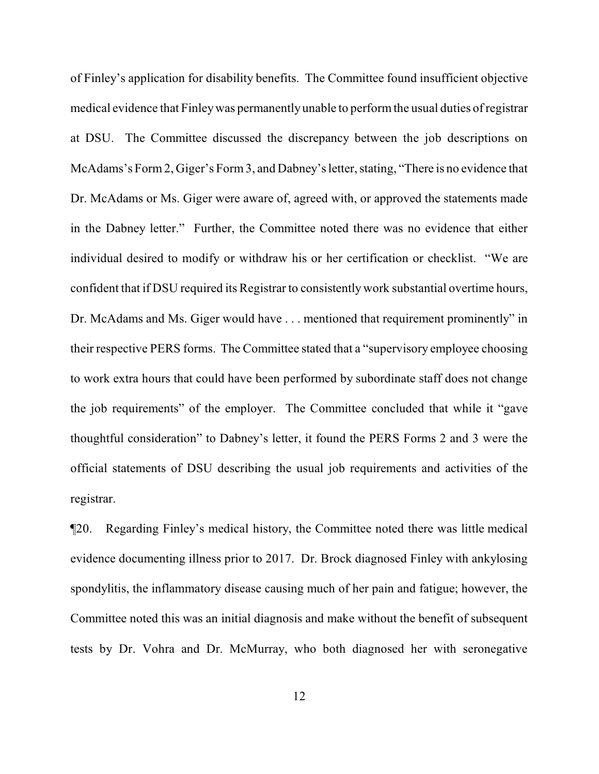of Finley's application for disability benefits. The Committee found insufficient objective medical evidence that Finleywas permanently unable to performthe usual duties of registrar at DSU. The Committee discussed the discrepancy between the job descriptions on McAdams's Form2, Giger's Form3, and Dabney's letter, stating, "There is no evidence that Dr. McAdams or Ms. Giger were aware of, agreed with, or approved the statements made in the Dabney letter." Further, the Committee noted there was no evidence that either individual desired to modify or withdraw his or her certification or checklist. "We are confident that if DSU required its Registrar to consistently work substantial overtime hours, Dr. McAdams and Ms. Giger would have . . . mentioned that requirement prominently" in their respective PERS forms. The Committee stated that a "supervisory employee choosing to work extra hours that could have been performed by subordinate staff does not change the job requirements" of the employer. The Committee concluded that while it "gave thoughtful consideration" to Dabney's letter, it found the PERS Forms 2 and 3 were the official statements of DSU describing the usual job requirements and activities of the registrar.

¶20. Regarding Finley's medical history, the Committee noted there was little medical evidence documenting illness prior to 2017. Dr. Brock diagnosed Finley with ankylosing spondylitis, the inflammatory disease causing much of her pain and fatigue; however, the Committee noted this was an initial diagnosis and make without the benefit of subsequent tests by Dr. Vohra and Dr. McMurray, who both diagnosed her with seronegative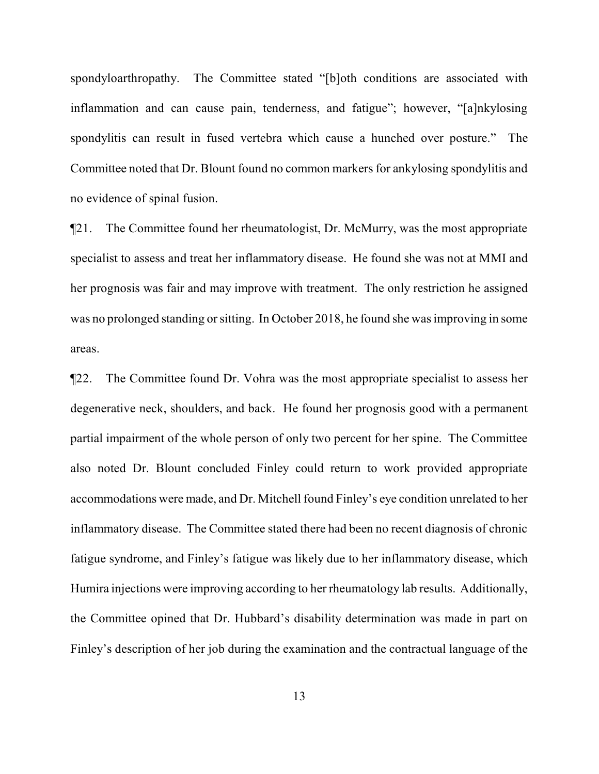spondyloarthropathy. The Committee stated "[b]oth conditions are associated with inflammation and can cause pain, tenderness, and fatigue"; however, "[a]nkylosing spondylitis can result in fused vertebra which cause a hunched over posture." The Committee noted that Dr. Blount found no common markers for ankylosing spondylitis and no evidence of spinal fusion.

¶21. The Committee found her rheumatologist, Dr. McMurry, was the most appropriate specialist to assess and treat her inflammatory disease. He found she was not at MMI and her prognosis was fair and may improve with treatment. The only restriction he assigned was no prolonged standing or sitting. In October 2018, he found she was improving in some areas.

¶22. The Committee found Dr. Vohra was the most appropriate specialist to assess her degenerative neck, shoulders, and back. He found her prognosis good with a permanent partial impairment of the whole person of only two percent for her spine. The Committee also noted Dr. Blount concluded Finley could return to work provided appropriate accommodations were made, and Dr. Mitchell found Finley's eye condition unrelated to her inflammatory disease. The Committee stated there had been no recent diagnosis of chronic fatigue syndrome, and Finley's fatigue was likely due to her inflammatory disease, which Humira injections were improving according to her rheumatology lab results. Additionally, the Committee opined that Dr. Hubbard's disability determination was made in part on Finley's description of her job during the examination and the contractual language of the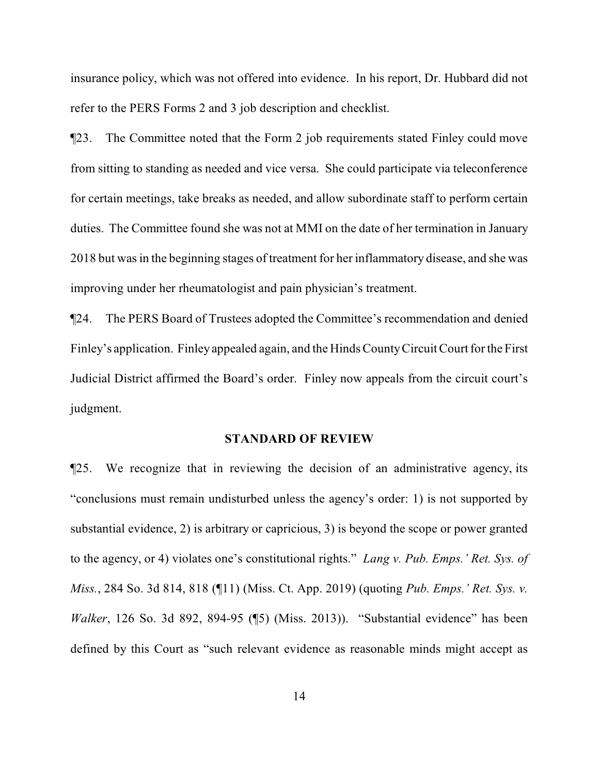insurance policy, which was not offered into evidence. In his report, Dr. Hubbard did not refer to the PERS Forms 2 and 3 job description and checklist.

¶23. The Committee noted that the Form 2 job requirements stated Finley could move from sitting to standing as needed and vice versa. She could participate via teleconference for certain meetings, take breaks as needed, and allow subordinate staff to perform certain duties. The Committee found she was not at MMI on the date of her termination in January 2018 but was in the beginning stages of treatment for her inflammatory disease, and she was improving under her rheumatologist and pain physician's treatment.

¶24. The PERS Board of Trustees adopted the Committee's recommendation and denied Finley's application. Finley appealed again, and the Hinds CountyCircuit Court for the First Judicial District affirmed the Board's order. Finley now appeals from the circuit court's judgment.

#### **STANDARD OF REVIEW**

¶25. We recognize that in reviewing the decision of an administrative agency, its "conclusions must remain undisturbed unless the agency's order: 1) is not supported by substantial evidence, 2) is arbitrary or capricious, 3) is beyond the scope or power granted to the agency, or 4) violates one's constitutional rights." *Lang v. Pub. Emps.' Ret. Sys. of Miss.*, 284 So. 3d 814, 818 (¶11) (Miss. Ct. App. 2019) (quoting *Pub. Emps.' Ret. Sys. v. Walker*, 126 So. 3d 892, 894-95 (¶5) (Miss. 2013)). "Substantial evidence" has been defined by this Court as "such relevant evidence as reasonable minds might accept as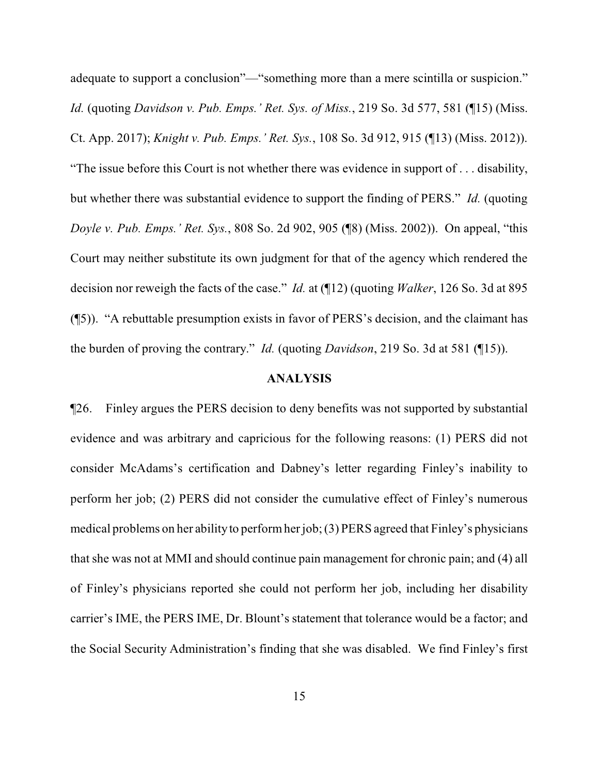adequate to support a conclusion"—"something more than a mere scintilla or suspicion." *Id.* (quoting *Davidson v. Pub. Emps.' Ret. Sys. of Miss.*, 219 So. 3d 577, 581 (¶15) (Miss. Ct. App. 2017); *Knight v. Pub. Emps.' Ret. Sys.*, 108 So. 3d 912, 915 (¶13) (Miss. 2012)). "The issue before this Court is not whether there was evidence in support of . . . disability, but whether there was substantial evidence to support the finding of PERS." *Id.* (quoting *Doyle v. Pub. Emps.' Ret. Sys.*, 808 So. 2d 902, 905 (¶8) (Miss. 2002)). On appeal, "this Court may neither substitute its own judgment for that of the agency which rendered the decision nor reweigh the facts of the case." *Id.* at (¶12) (quoting *Walker*, 126 So. 3d at 895 (¶5)). "A rebuttable presumption exists in favor of PERS's decision, and the claimant has the burden of proving the contrary." *Id.* (quoting *Davidson*, 219 So. 3d at 581 (¶15)).

#### **ANALYSIS**

¶26. Finley argues the PERS decision to deny benefits was not supported by substantial evidence and was arbitrary and capricious for the following reasons: (1) PERS did not consider McAdams's certification and Dabney's letter regarding Finley's inability to perform her job; (2) PERS did not consider the cumulative effect of Finley's numerous medical problems on her abilityto performher job; (3) PERS agreed that Finley's physicians that she was not at MMI and should continue pain management for chronic pain; and (4) all of Finley's physicians reported she could not perform her job, including her disability carrier's IME, the PERS IME, Dr. Blount's statement that tolerance would be a factor; and the Social Security Administration's finding that she was disabled. We find Finley's first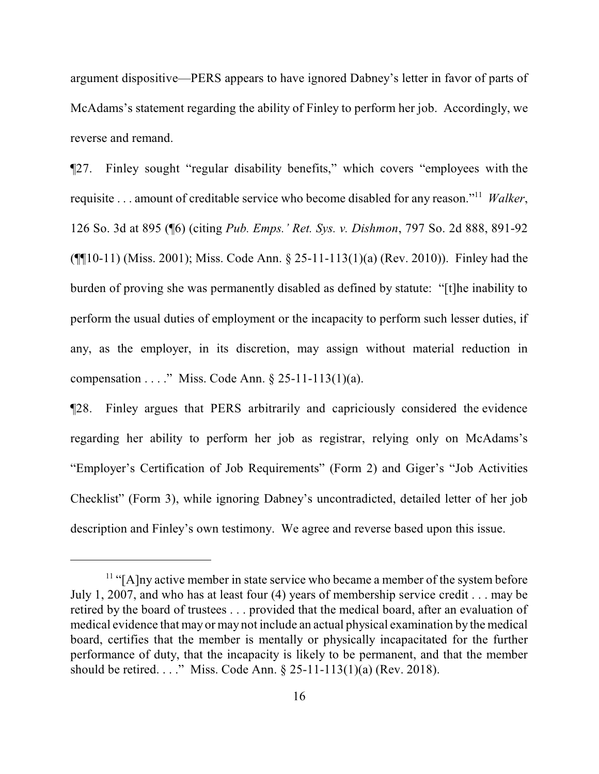argument dispositive—PERS appears to have ignored Dabney's letter in favor of parts of McAdams's statement regarding the ability of Finley to perform her job. Accordingly, we reverse and remand.

¶27. Finley sought "regular disability benefits," which covers "employees with the requisite . . . amount of creditable service who become disabled for any reason."<sup>11</sup> *Walker*, 126 So. 3d at 895 (¶6) (citing *Pub. Emps.' Ret. Sys. v. Dishmon*, 797 So. 2d 888, 891-92 (¶¶10-11) (Miss. 2001); Miss. Code Ann. § 25-11-113(1)(a) (Rev. 2010)). Finley had the burden of proving she was permanently disabled as defined by statute: "[t]he inability to perform the usual duties of employment or the incapacity to perform such lesser duties, if any, as the employer, in its discretion, may assign without material reduction in compensation . . . . " Miss. Code Ann.  $\S 25-11-113(1)(a)$ .

¶28. Finley argues that PERS arbitrarily and capriciously considered the evidence regarding her ability to perform her job as registrar, relying only on McAdams's "Employer's Certification of Job Requirements" (Form 2) and Giger's "Job Activities Checklist" (Form 3), while ignoring Dabney's uncontradicted, detailed letter of her job description and Finley's own testimony. We agree and reverse based upon this issue.

 $<sup>11</sup>$  "[A]ny active member in state service who became a member of the system before</sup> July 1, 2007, and who has at least four (4) years of membership service credit . . . may be retired by the board of trustees . . . provided that the medical board, after an evaluation of medical evidence that may or may not include an actual physical examination by the medical board, certifies that the member is mentally or physically incapacitated for the further performance of duty, that the incapacity is likely to be permanent, and that the member should be retired. . . ." Miss. Code Ann. § 25-11-113(1)(a) (Rev. 2018).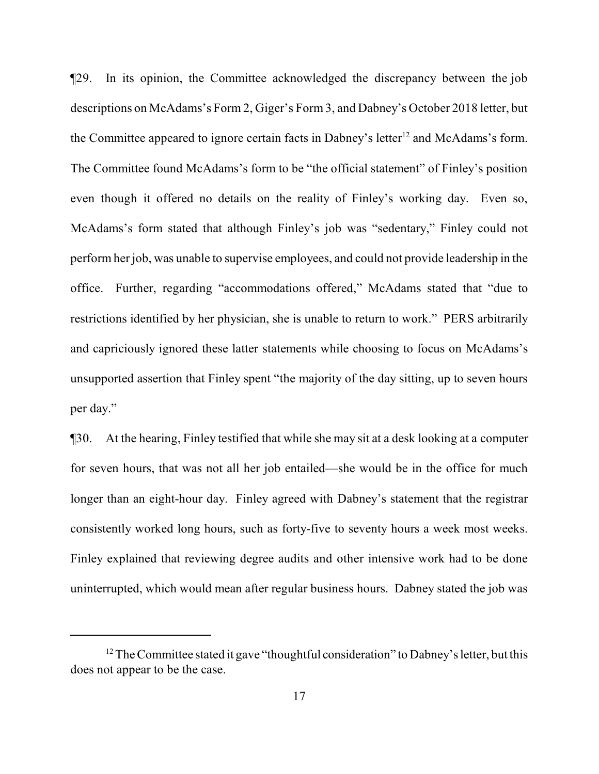¶29. In its opinion, the Committee acknowledged the discrepancy between the job descriptions on McAdams's Form 2, Giger's Form 3, and Dabney's October 2018 letter, but the Committee appeared to ignore certain facts in Dabney's letter<sup>12</sup> and McAdams's form. The Committee found McAdams's form to be "the official statement" of Finley's position even though it offered no details on the reality of Finley's working day. Even so, McAdams's form stated that although Finley's job was "sedentary," Finley could not perform her job, was unable to supervise employees, and could not provide leadership in the office. Further, regarding "accommodations offered," McAdams stated that "due to restrictions identified by her physician, she is unable to return to work." PERS arbitrarily and capriciously ignored these latter statements while choosing to focus on McAdams's unsupported assertion that Finley spent "the majority of the day sitting, up to seven hours per day."

¶30. At the hearing, Finley testified that while she may sit at a desk looking at a computer for seven hours, that was not all her job entailed—she would be in the office for much longer than an eight-hour day. Finley agreed with Dabney's statement that the registrar consistently worked long hours, such as forty-five to seventy hours a week most weeks. Finley explained that reviewing degree audits and other intensive work had to be done uninterrupted, which would mean after regular business hours. Dabney stated the job was

 $12$  The Committee stated it gave "thoughtful consideration" to Dabney's letter, but this does not appear to be the case.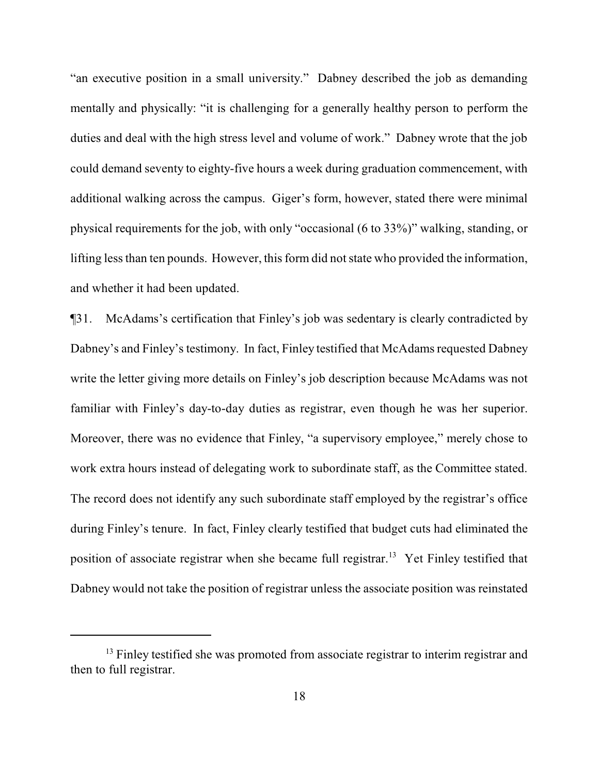"an executive position in a small university." Dabney described the job as demanding mentally and physically: "it is challenging for a generally healthy person to perform the duties and deal with the high stress level and volume of work." Dabney wrote that the job could demand seventy to eighty-five hours a week during graduation commencement, with additional walking across the campus. Giger's form, however, stated there were minimal physical requirements for the job, with only "occasional (6 to 33%)" walking, standing, or lifting less than ten pounds. However, this form did not state who provided the information, and whether it had been updated.

¶31. McAdams's certification that Finley's job was sedentary is clearly contradicted by Dabney's and Finley's testimony. In fact, Finley testified that McAdams requested Dabney write the letter giving more details on Finley's job description because McAdams was not familiar with Finley's day-to-day duties as registrar, even though he was her superior. Moreover, there was no evidence that Finley, "a supervisory employee," merely chose to work extra hours instead of delegating work to subordinate staff, as the Committee stated. The record does not identify any such subordinate staff employed by the registrar's office during Finley's tenure. In fact, Finley clearly testified that budget cuts had eliminated the position of associate registrar when she became full registrar.<sup>13</sup> Yet Finley testified that Dabney would not take the position of registrar unless the associate position was reinstated

<sup>&</sup>lt;sup>13</sup> Finley testified she was promoted from associate registrar to interim registrar and then to full registrar.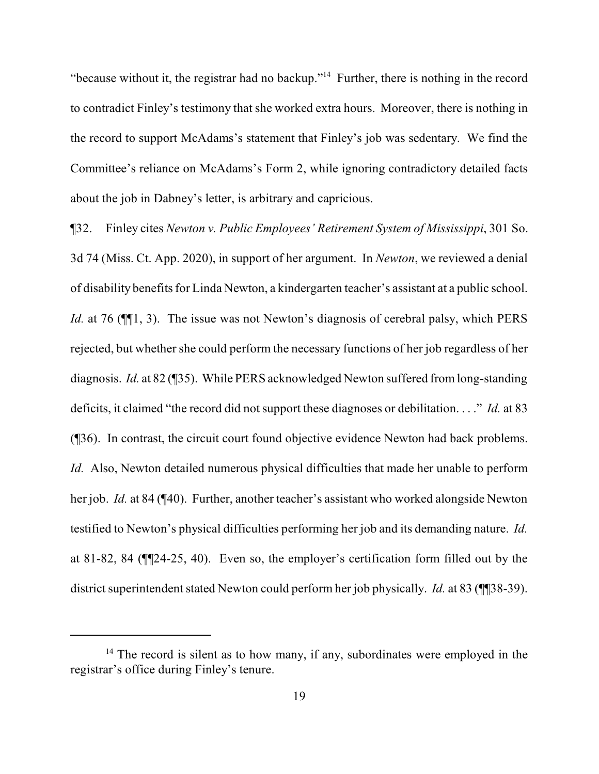"because without it, the registrar had no backup."<sup>14</sup> Further, there is nothing in the record to contradict Finley's testimony that she worked extra hours. Moreover, there is nothing in the record to support McAdams's statement that Finley's job was sedentary. We find the Committee's reliance on McAdams's Form 2, while ignoring contradictory detailed facts about the job in Dabney's letter, is arbitrary and capricious.

¶32. Finley cites *Newton v. Public Employees' Retirement System of Mississippi*, 301 So. 3d 74 (Miss. Ct. App. 2020), in support of her argument. In *Newton*, we reviewed a denial of disability benefits for Linda Newton, a kindergarten teacher's assistant at a public school. *Id.* at 76 ( $\P$ [1, 3). The issue was not Newton's diagnosis of cerebral palsy, which PERS rejected, but whether she could perform the necessary functions of her job regardless of her diagnosis. *Id.* at 82 (¶35). While PERS acknowledged Newton suffered from long-standing deficits, it claimed "the record did not support these diagnoses or debilitation. . . ." *Id.* at 83 (¶36). In contrast, the circuit court found objective evidence Newton had back problems. *Id.* Also, Newton detailed numerous physical difficulties that made her unable to perform her job. *Id.* at 84 (¶40). Further, another teacher's assistant who worked alongside Newton testified to Newton's physical difficulties performing her job and its demanding nature. *Id.* at 81-82, 84 (¶¶24-25, 40). Even so, the employer's certification form filled out by the district superintendent stated Newton could perform her job physically. *Id.* at 83 (¶[38-39).

 $14$  The record is silent as to how many, if any, subordinates were employed in the registrar's office during Finley's tenure.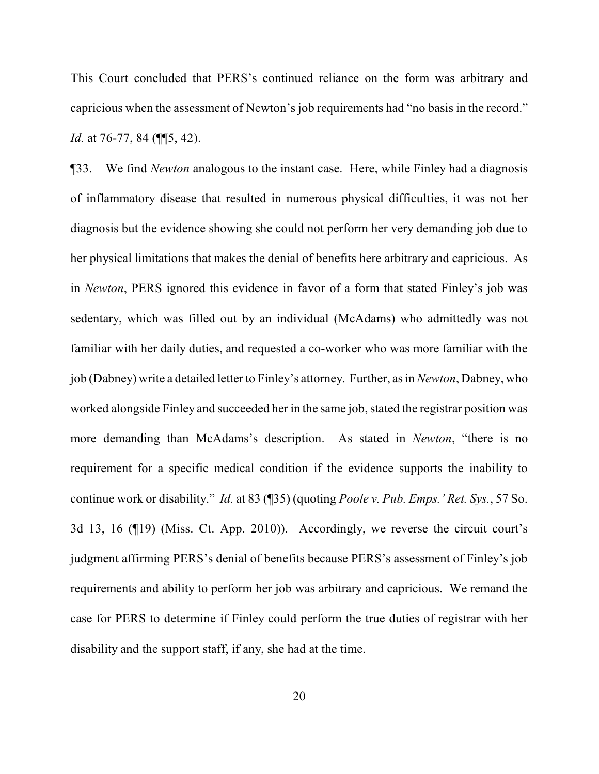This Court concluded that PERS's continued reliance on the form was arbitrary and capricious when the assessment of Newton's job requirements had "no basis in the record." *Id.* at 76-77, 84 (¶[5, 42).

¶33. We find *Newton* analogous to the instant case. Here, while Finley had a diagnosis of inflammatory disease that resulted in numerous physical difficulties, it was not her diagnosis but the evidence showing she could not perform her very demanding job due to her physical limitations that makes the denial of benefits here arbitrary and capricious. As in *Newton*, PERS ignored this evidence in favor of a form that stated Finley's job was sedentary, which was filled out by an individual (McAdams) who admittedly was not familiar with her daily duties, and requested a co-worker who was more familiar with the job (Dabney) write a detailed letter to Finley's attorney. Further, as in*Newton*, Dabney, who worked alongside Finley and succeeded her in the same job, stated the registrar position was more demanding than McAdams's description. As stated in *Newton*, "there is no requirement for a specific medical condition if the evidence supports the inability to continue work or disability." *Id.* at 83 (¶35) (quoting *Poole v. Pub. Emps.' Ret. Sys.*, 57 So. 3d 13, 16 (¶19) (Miss. Ct. App. 2010)). Accordingly, we reverse the circuit court's judgment affirming PERS's denial of benefits because PERS's assessment of Finley's job requirements and ability to perform her job was arbitrary and capricious. We remand the case for PERS to determine if Finley could perform the true duties of registrar with her disability and the support staff, if any, she had at the time.